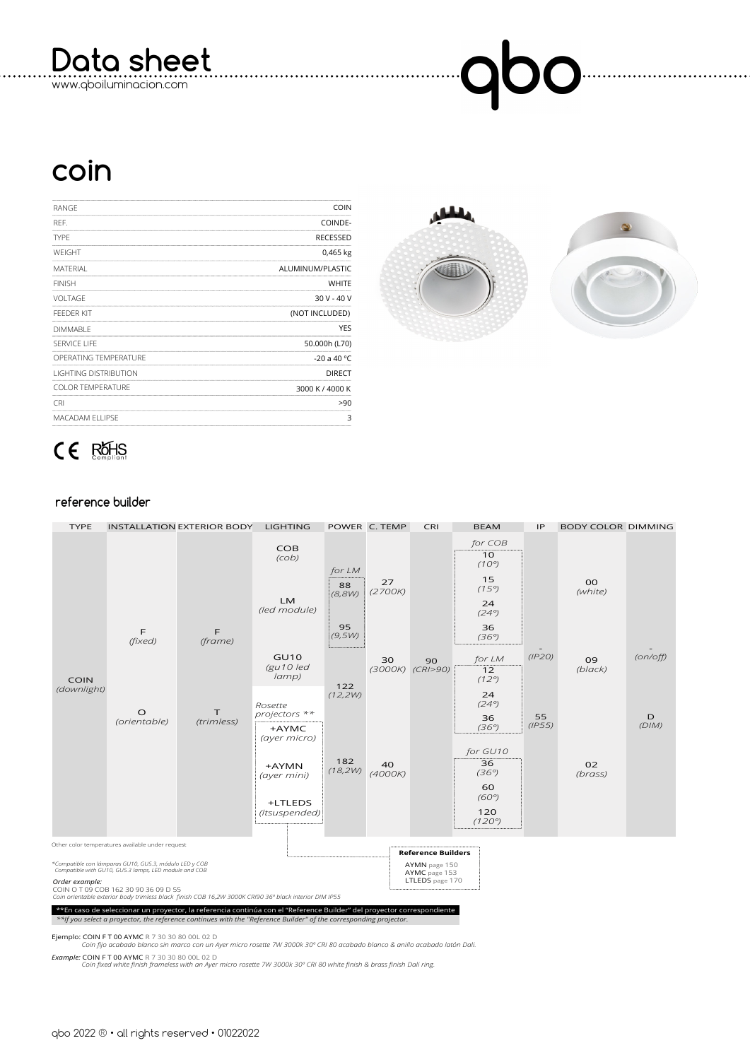**Data sheet**

www.qboiluminacion.com

## 00  $\bigcup$

## **coin**

| RANGE                        | <b>COIN</b>      |
|------------------------------|------------------|
| REF.                         | COINDE-          |
| <b>TYPF</b>                  | <b>RECESSED</b>  |
| WEIGHT                       | 0,465 kg         |
| <b>MATERIAL</b>              | ALUMINUM/PLASTIC |
| <b>FINISH</b>                | <b>WHITE</b>     |
| <b>VOLTAGE</b>               | $30V - 40V$      |
| <b>FEEDER KIT</b>            | (NOT INCLUDED)   |
| <b>DIMMABLE</b>              | <b>YES</b>       |
| SERVICE LIFE                 | 50.000h (L70)    |
| OPERATING TEMPERATURE        | -20 a 40 °C      |
| <b>LIGHTING DISTRIBUTION</b> | <b>DIRECT</b>    |
| <b>COLOR TEMPERATURE</b>     | 3000 K / 4000 K  |
| <b>CRI</b>                   | >90              |
| <b>MACADAM ELLIPSE</b>       | 3                |
|                              |                  |



## $CE$  ROHS

## **reference builder**

| <b>TYPE</b>                                                                                                                                                                                                                                 |                         | <b>INSTALLATION EXTERIOR BODY</b> | <b>LIGHTING</b>                                   |                                        | POWER C. TEMP | CRI                                                                            | <b>BEAM</b>                                                                  | IP                     | <b>BODY COLOR DIMMING</b> |            |  |
|---------------------------------------------------------------------------------------------------------------------------------------------------------------------------------------------------------------------------------------------|-------------------------|-----------------------------------|---------------------------------------------------|----------------------------------------|---------------|--------------------------------------------------------------------------------|------------------------------------------------------------------------------|------------------------|---------------------------|------------|--|
| <b>COIN</b><br>(downlight)                                                                                                                                                                                                                  | F<br>(fixed)            | E<br>(frame)                      | <b>COB</b><br>(Cob)<br><b>LM</b><br>(led module)  | for LM<br>88<br>(8,8W)<br>95<br>(9,5W) | 27<br>(2700K) |                                                                                | for COB<br>10<br>$(10^{\circ})$<br>15<br>(15°)<br>24<br>(24°)<br>36<br>(36°) |                        | <b>OO</b><br>(white)      |            |  |
|                                                                                                                                                                                                                                             |                         |                                   | <b>GU10</b><br>$(gu10$ led<br>$\langle \rangle$   | 122<br>(12,2W)                         | 30<br>(3000K) | 90<br>(CR/>90)                                                                 | for LM<br>12<br>(12°)<br>24                                                  | (IP2O)<br>55<br>(IPS5) | 09<br>$(b \mid ack)$      | (on/off)   |  |
|                                                                                                                                                                                                                                             | $\circ$<br>(orientable) | т<br>(trimless)                   | Rosette<br>projectors **<br>+AYMC<br>(ayer micro) |                                        |               |                                                                                | (24°)<br>36<br>(36°)<br>for GU10                                             |                        |                           | D<br>(DIM) |  |
|                                                                                                                                                                                                                                             |                         |                                   | +AYMN<br>(ayer mini)<br>+LTLEDS<br>(Itsuspended)  | 182<br>(18,2W)                         | 40<br>(4000K) |                                                                                | 36<br>(36°)<br>60<br>(60°)<br>120<br>(120°)                                  |                        | 02<br>(brass)             |            |  |
| Other color temperatures available under request                                                                                                                                                                                            |                         |                                   |                                                   |                                        |               |                                                                                |                                                                              |                        |                           |            |  |
| *Compatible con lámparas GU10, GU5.3, módulo LED y COB<br>Compatible with GU10, GU5.3 lamps, LED module and COB<br>Order example:<br>COIN O T 09 COB 162 30 90 36 09 D 55                                                                   |                         |                                   |                                                   |                                        |               | <b>Reference Builders</b><br>AYMN page 150<br>AYMC page 153<br>LTLEDS page 170 |                                                                              |                        |                           |            |  |
| Coin orientable exterior body trimless black finish COB 16,2W 3000K CRI90 36° black interior DIM IP55                                                                                                                                       |                         |                                   |                                                   |                                        |               |                                                                                |                                                                              |                        |                           |            |  |
| **En caso de seleccionar un proyector, la referencia continúa con el "Reference Builder" del proyector correspondiente<br>**If you select a proyector, the reference continues with the "Reference Builder" of the corresponding projector. |                         |                                   |                                                   |                                        |               |                                                                                |                                                                              |                        |                           |            |  |

**Ejemplo: COIN F T 00 AYMC** R 7 30 30 80 00L 02 D<br>*Coin fijo acabado blanco sin marco con un Ayer micro rosette 7W 3000k 30º CRI 80 acabado blanco & anillo acabado latón Dali.* 

*Example:* COIN F T 00 AYMC R 7 30 30 80 00L 02 D  *Coin fixed white finish frameless with an Ayer micro rosette 7W 3000k 30º CRI 80 white finish & brass finish Dali ring.*